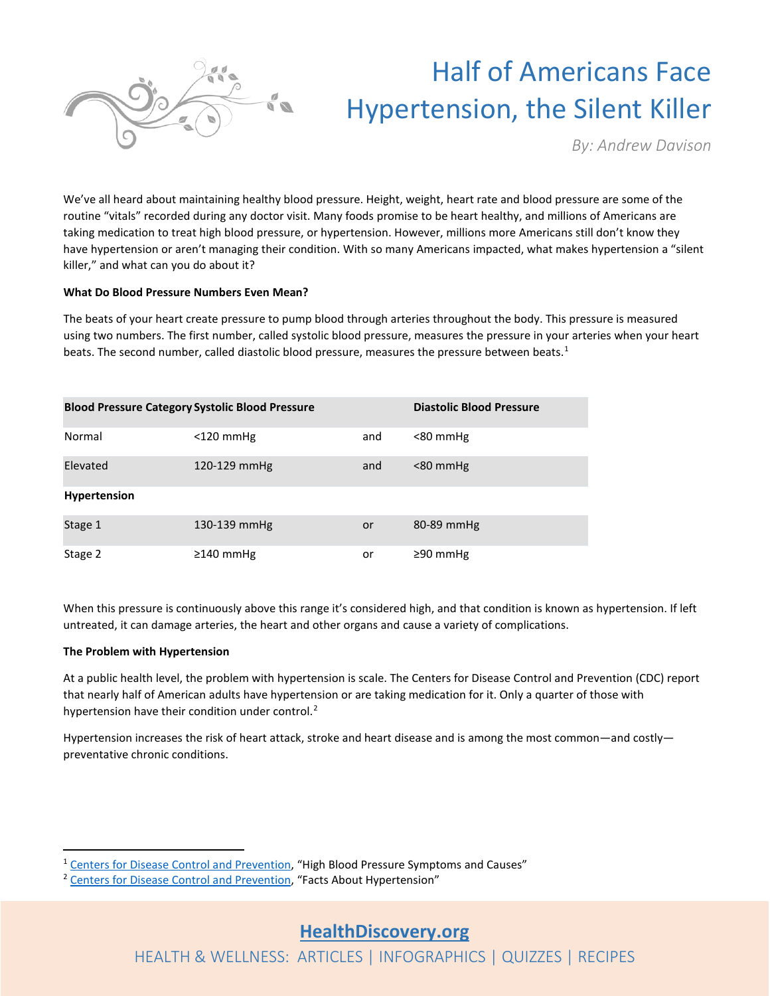

# Half of Americans Face Hypertension, the Silent Killer

*By: Andrew Davison*

We've all heard about maintaining healthy blood pressure. Height, weight, heart rate and blood pressure are some of the routine "vitals" recorded during any doctor visit. Many foods promise to be heart healthy, and millions of Americans are taking medication to treat high blood pressure, or hypertension. However, millions more Americans still don't know they have hypertension or aren't managing their condition. With so many Americans impacted, what makes hypertension a "silent killer," and what can you do about it?

#### **What Do Blood Pressure Numbers Even Mean?**

The beats of your heart create pressure to pump blood through arteries throughout the body. This pressure is measured using two numbers. The first number, called systolic blood pressure, measures the pressure in your arteries when your heart beats. The second number, called diastolic blood pressure, measures the pressure between beats.<sup>[1](#page-0-0)</sup>

| <b>Blood Pressure Category Systolic Blood Pressure</b> |                 |     | <b>Diastolic Blood Pressure</b> |
|--------------------------------------------------------|-----------------|-----|---------------------------------|
| Normal                                                 | $<$ 120 mmHg    | and | $< 80$ mmHg                     |
| Elevated                                               | 120-129 mmHg    | and | $< 80$ mmHg                     |
| <b>Hypertension</b>                                    |                 |     |                                 |
| Stage 1                                                | 130-139 mmHg    | or  | 80-89 mmHg                      |
| Stage 2                                                | $\geq$ 140 mmHg | or  | ≥90 mmHg                        |

When this pressure is continuously above this range it's considered high, and that condition is known as hypertension. If left untreated, it can damage arteries, the heart and other organs and cause a variety of complications.

#### **The Problem with Hypertension**

At a public health level, the problem with hypertension is scale. The Centers for Disease Control and Prevention (CDC) report that nearly half of American adults have hypertension or are taking medication for it. Only a quarter of those with hypertension have their condition under control.<sup>[2](#page-0-1)</sup>

Hypertension increases the risk of heart attack, stroke and heart disease and is among the most common—and costly preventative chronic conditions.

<span id="page-0-1"></span><span id="page-0-0"></span><sup>&</sup>lt;sup>1</sup> [Centers for Disease Control and Prevention,](https://www.cdc.gov/bloodpressure/facts.htm) "High Blood Pressure Symptoms and Causes" <sup>2</sup> Centers for Disease Control and Prevention, "Facts About Hypertension"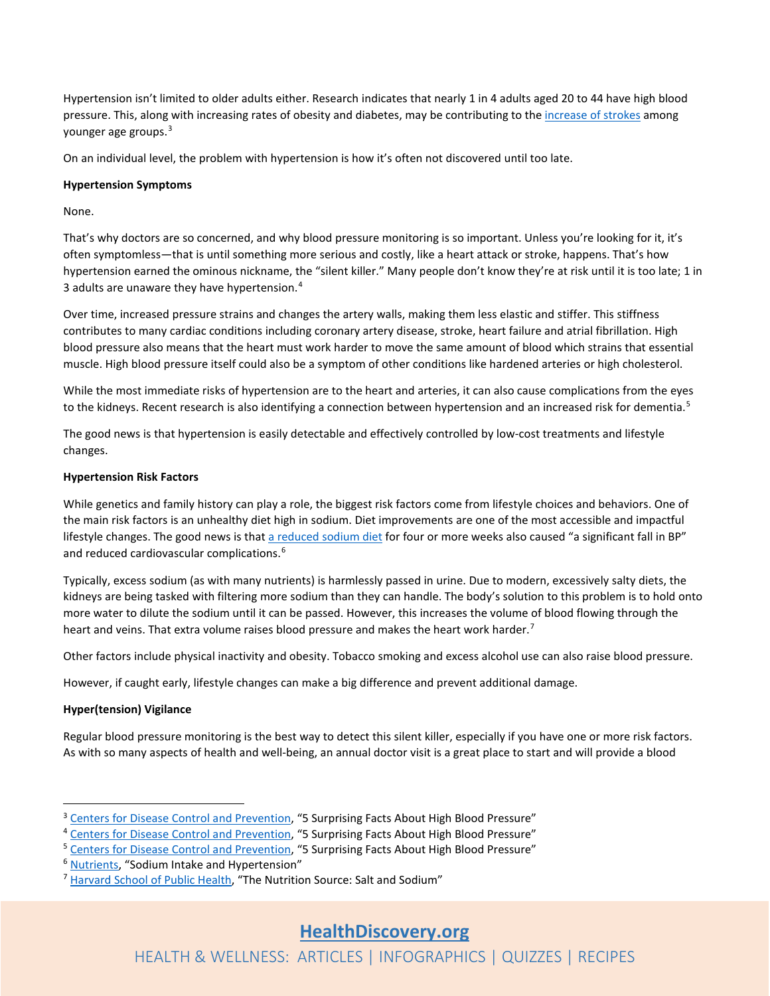Hypertension isn't limited to older adults either. Research indicates that nearly 1 in 4 adults aged 20 to 44 have high blood pressure. This, along with increasing rates of obesity and diabetes, may be contributing to th[e increase of strokes](https://healthdiscovery.org/stroke-and-heart-attack/) among younger age groups.[3](#page-1-0)

On an individual level, the problem with hypertension is how it's often not discovered until too late.

#### **Hypertension Symptoms**

None.

That's why doctors are so concerned, and why blood pressure monitoring is so important. Unless you're looking for it, it's often symptomless—that is until something more serious and costly, like a heart attack or stroke, happens. That's how hypertension earned the ominous nickname, the "silent killer." Many people don't know they're at risk until it is too late; 1 in 3 adults are unaware they have hypertension.[4](#page-1-1)

Over time, increased pressure strains and changes the artery walls, making them less elastic and stiffer. This stiffness contributes to many cardiac conditions including coronary artery disease, stroke, heart failure and atrial fibrillation. High blood pressure also means that the heart must work harder to move the same amount of blood which strains that essential muscle. High blood pressure itself could also be a symptom of other conditions like hardened arteries or high cholesterol.

While the most immediate risks of hypertension are to the heart and arteries, it can also cause complications from the eyes to the kidneys. Recent research is also identifying a connection between hypertension and an increased risk for dementia.<sup>[5](#page-1-2)</sup>

The good news is that hypertension is easily detectable and effectively controlled by low-cost treatments and lifestyle changes.

### **Hypertension Risk Factors**

While genetics and family history can play a role, the biggest risk factors come from lifestyle choices and behaviors. One of the main risk factors is an unhealthy diet high in sodium. Diet improvements are one of the most accessible and impactful lifestyle changes. The good news is tha[t a reduced sodium diet](https://healthdiscovery.org/solutions-for-heart-healthy-cooking/) for four or more weeks also caused "a significant fall in BP" and reduced cardiovascular complications.<sup>[6](#page-1-3)</sup>

Typically, excess sodium (as with many nutrients) is harmlessly passed in urine. Due to modern, excessively salty diets, the kidneys are being tasked with filtering more sodium than they can handle. The body's solution to this problem is to hold onto more water to dilute the sodium until it can be passed. However, this increases the volume of blood flowing through the heart and veins. That extra volume raises blood pressure and makes the heart work harder.<sup>[7](#page-1-4)</sup>

Other factors include physical inactivity and obesity. Tobacco smoking and excess alcohol use can also raise blood pressure.

However, if caught early, lifestyle changes can make a big difference and prevent additional damage.

## **Hyper(tension) Vigilance**

Regular blood pressure monitoring is the best way to detect this silent killer, especially if you have one or more risk factors. As with so many aspects of health and well-being, an annual doctor visit is a great place to start and will provide a blood

<span id="page-1-0"></span><sup>&</sup>lt;sup>3</sup> [Centers for Disease Control and Prevention,](https://www.cdc.gov/bloodpressure/5_surprising_facts.htm) "5 Surprising Facts About High Blood Pressure"

<span id="page-1-2"></span><span id="page-1-1"></span><sup>&</sup>lt;sup>4</sup> [Centers for Disease Control and Prevention,](https://www.cdc.gov/bloodpressure/5_surprising_facts.htm) "5 Surprising Facts About High Blood Pressure"<br>
<sup>5</sup> Centers for Disease [Control and Prevention,](https://www.cdc.gov/bloodpressure/5_surprising_facts.htm) "5 Surprising Facts About High Blood Pressure"<br>
<sup>6</sup> [Nutrients,](https://www.ncbi.nlm.nih.gov/pmc/articles/PMC6770596/) "Sodium Intake

<span id="page-1-3"></span>

<span id="page-1-4"></span><sup>&</sup>lt;sup>7</sup> [Harvard School of Public Health,](https://www.hsph.harvard.edu/nutritionsource/salt-and-sodium/) "The Nutrition Source: Salt and Sodium"